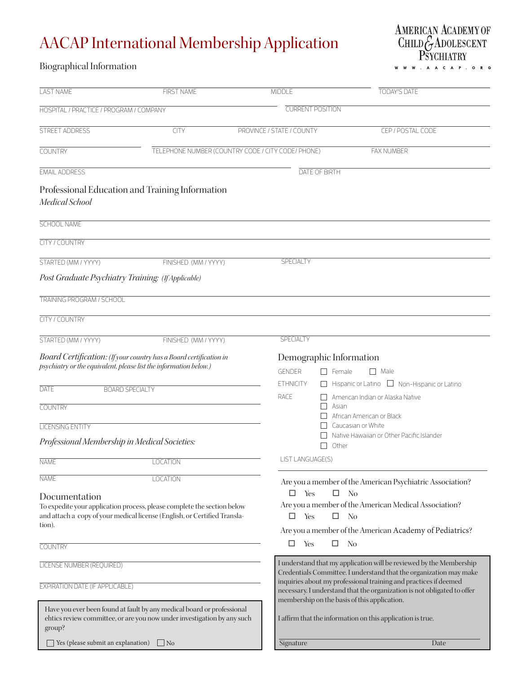## AACAP International Membership Application

AMERICAN ACADEMY OF<br>CHILD GADOLESCENT<br>PSYCHIATRY . A A C A P . O R G  $\mathsf{w}$ 

## Biographical Information

| <b>LAST NAME</b>                                                                                                  | <b>FIRST NAME</b>                                                                                                                                                                    | <b>MIDDLE</b>                                                                                 | <b>TODAY'S DATE</b>                                                                                                                                                                                                                                               |  |  |  |  |
|-------------------------------------------------------------------------------------------------------------------|--------------------------------------------------------------------------------------------------------------------------------------------------------------------------------------|-----------------------------------------------------------------------------------------------|-------------------------------------------------------------------------------------------------------------------------------------------------------------------------------------------------------------------------------------------------------------------|--|--|--|--|
| HOSPITAL / PRACTICE / PROGRAM / COMPANY                                                                           |                                                                                                                                                                                      | <b>CURRENT POSITION</b>                                                                       |                                                                                                                                                                                                                                                                   |  |  |  |  |
| STREET ADDRESS                                                                                                    | <b>CITY</b>                                                                                                                                                                          | PROVINCE / STATE / COUNTY                                                                     | CEP / POSTAL CODE                                                                                                                                                                                                                                                 |  |  |  |  |
| COUNTRY                                                                                                           |                                                                                                                                                                                      | TELEPHONE NUMBER (COUNTRY CODE / CITY CODE/ PHONE)                                            | <b>FAX NUMBER</b>                                                                                                                                                                                                                                                 |  |  |  |  |
| <b>EMAIL ADDRESS</b>                                                                                              |                                                                                                                                                                                      | <b>DATE OF BIRTH</b>                                                                          |                                                                                                                                                                                                                                                                   |  |  |  |  |
| Medical School                                                                                                    | Professional Education and Training Information                                                                                                                                      |                                                                                               |                                                                                                                                                                                                                                                                   |  |  |  |  |
| <b>SCHOOL NAME</b>                                                                                                |                                                                                                                                                                                      |                                                                                               |                                                                                                                                                                                                                                                                   |  |  |  |  |
| CITY / COUNTRY                                                                                                    |                                                                                                                                                                                      |                                                                                               |                                                                                                                                                                                                                                                                   |  |  |  |  |
| STARTED (MM / YYYY)                                                                                               | FINISHED (MM / YYYY)                                                                                                                                                                 | <b>SPECIALTY</b>                                                                              |                                                                                                                                                                                                                                                                   |  |  |  |  |
|                                                                                                                   | Post Graduate Psychiatry Training: (If Applicable)                                                                                                                                   |                                                                                               |                                                                                                                                                                                                                                                                   |  |  |  |  |
| <b>TRAINING PROGRAM / SCHOOL</b>                                                                                  |                                                                                                                                                                                      |                                                                                               |                                                                                                                                                                                                                                                                   |  |  |  |  |
| <b>CITY / COUNTRY</b>                                                                                             |                                                                                                                                                                                      |                                                                                               |                                                                                                                                                                                                                                                                   |  |  |  |  |
| STARTED (MM / YYYY)                                                                                               | FINISHED (MM / YYYY)                                                                                                                                                                 | <b>SPECIALTY</b>                                                                              |                                                                                                                                                                                                                                                                   |  |  |  |  |
| DATE<br><b>COUNTRY</b><br><b>LICENSING ENTITY</b><br>Professional Membership in Medical Societies:<br><b>NAME</b> | Board Certification: (If your country has a Board certification in<br>psychiatry or the equivalent, please list the information below.)<br><b>BOARD SPECIALTY</b><br><b>LOCATION</b> | Demographic Information<br><b>GENDER</b><br><b>ETHNICITY</b><br>RACE<br>□<br>LIST LANGUAGE(S) | $\Box$ Male<br>  Female<br>Hispanic or Latino $\Box$ Non-Hispanic or Latino<br>American Indian or Alaska Native<br>Asian<br>African American or Black<br>Caucasian or White<br>Native Hawaiian or Other Pacific Islander<br>Other                                 |  |  |  |  |
| <b>NAME</b><br>Documentation<br>tion).<br>COUNTRY                                                                 | <b>LOCATION</b><br>To expedite your application process, please complete the section below<br>and attach a copy of your medical license (English, or Certified Transla-              | □<br>Yes<br>□<br>Yes<br>Yes<br>□                                                              | Are you a member of the American Psychiatric Association?<br>□<br>N <sub>0</sub><br>Are you a member of the American Medical Association?<br>$\Box$<br>N <sub>0</sub><br>Are you a member of the American Academy of Pediatrics?<br>No<br>ш                       |  |  |  |  |
| LICENSE NUMBER (REQUIRED)                                                                                         |                                                                                                                                                                                      |                                                                                               | I understand that my application will be reviewed by the Membership                                                                                                                                                                                               |  |  |  |  |
| <b>EXPIRATION DATE (IF APPLICABLE)</b>                                                                            |                                                                                                                                                                                      |                                                                                               | Credentials Committee. I understand that the organization may make<br>inquiries about my professional training and practices if deemed<br>necessary. I understand that the organization is not obligated to offer<br>membership on the basis of this application. |  |  |  |  |
| group?                                                                                                            | Have you ever been found at fault by any medical board or professional<br>ehtics review committee, or are you now under investigation by any such                                    |                                                                                               | I affirm that the information on this application is true.                                                                                                                                                                                                        |  |  |  |  |
| Yes (please submit an explanation)                                                                                | $\overline{N}$                                                                                                                                                                       | Signature                                                                                     | Date                                                                                                                                                                                                                                                              |  |  |  |  |